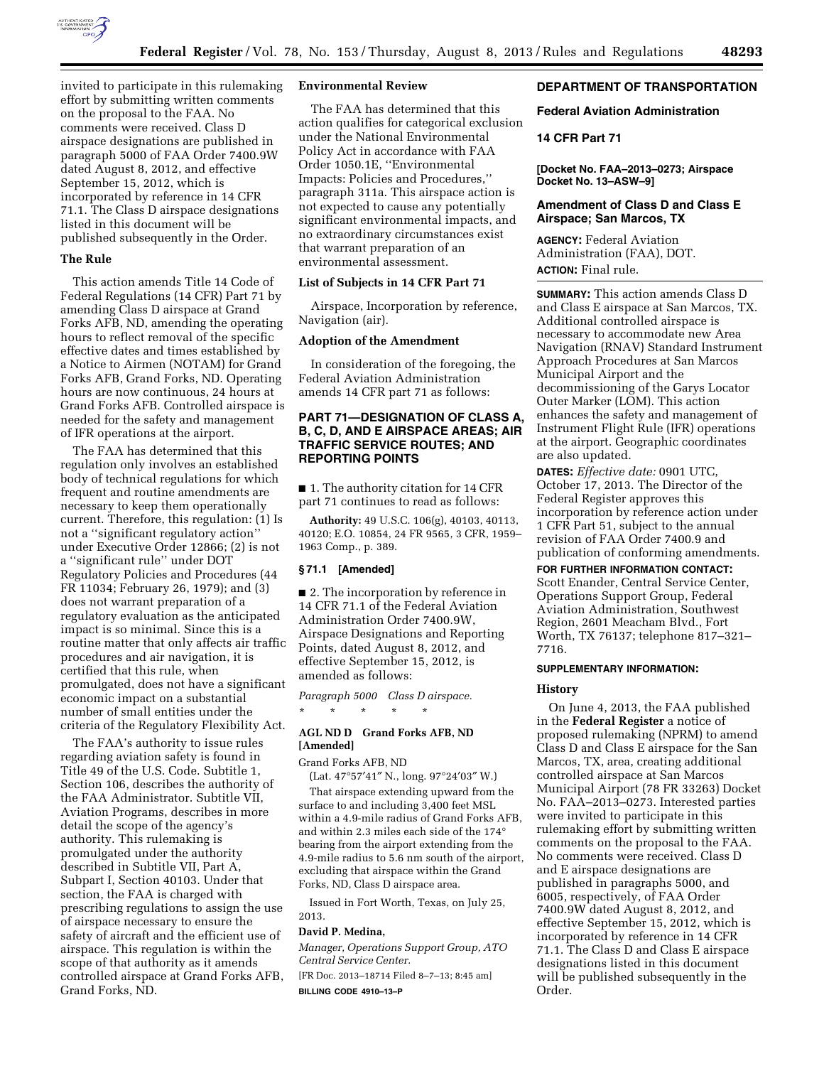

invited to participate in this rulemaking effort by submitting written comments on the proposal to the FAA. No comments were received. Class D airspace designations are published in paragraph 5000 of FAA Order 7400.9W dated August 8, 2012, and effective September 15, 2012, which is incorporated by reference in 14 CFR 71.1. The Class D airspace designations listed in this document will be published subsequently in the Order.

### **The Rule**

This action amends Title 14 Code of Federal Regulations (14 CFR) Part 71 by amending Class D airspace at Grand Forks AFB, ND, amending the operating hours to reflect removal of the specific effective dates and times established by a Notice to Airmen (NOTAM) for Grand Forks AFB, Grand Forks, ND. Operating hours are now continuous, 24 hours at Grand Forks AFB. Controlled airspace is needed for the safety and management of IFR operations at the airport.

The FAA has determined that this regulation only involves an established body of technical regulations for which frequent and routine amendments are necessary to keep them operationally current. Therefore, this regulation: (1) Is not a ''significant regulatory action'' under Executive Order 12866; (2) is not a ''significant rule'' under DOT Regulatory Policies and Procedures (44 FR 11034; February 26, 1979); and (3) does not warrant preparation of a regulatory evaluation as the anticipated impact is so minimal. Since this is a routine matter that only affects air traffic procedures and air navigation, it is certified that this rule, when promulgated, does not have a significant economic impact on a substantial number of small entities under the criteria of the Regulatory Flexibility Act.

The FAA's authority to issue rules regarding aviation safety is found in Title 49 of the U.S. Code. Subtitle 1, Section 106, describes the authority of the FAA Administrator. Subtitle VII, Aviation Programs, describes in more detail the scope of the agency's authority. This rulemaking is promulgated under the authority described in Subtitle VII, Part A, Subpart I, Section 40103. Under that section, the FAA is charged with prescribing regulations to assign the use of airspace necessary to ensure the safety of aircraft and the efficient use of airspace. This regulation is within the scope of that authority as it amends controlled airspace at Grand Forks AFB, Grand Forks, ND.

### **Environmental Review**

The FAA has determined that this action qualifies for categorical exclusion under the National Environmental Policy Act in accordance with FAA Order 1050.1E, ''Environmental Impacts: Policies and Procedures,'' paragraph 311a. This airspace action is not expected to cause any potentially significant environmental impacts, and no extraordinary circumstances exist that warrant preparation of an environmental assessment.

# **List of Subjects in 14 CFR Part 71**

Airspace, Incorporation by reference, Navigation (air).

# **Adoption of the Amendment**

In consideration of the foregoing, the Federal Aviation Administration amends 14 CFR part 71 as follows:

# **PART 71—DESIGNATION OF CLASS A, B, C, D, AND E AIRSPACE AREAS; AIR TRAFFIC SERVICE ROUTES; AND REPORTING POINTS**

■ 1. The authority citation for 14 CFR part 71 continues to read as follows:

**Authority:** 49 U.S.C. 106(g), 40103, 40113, 40120; E.O. 10854, 24 FR 9565, 3 CFR, 1959– 1963 Comp., p. 389.

#### **§ 71.1 [Amended]**

■ 2. The incorporation by reference in 14 CFR 71.1 of the Federal Aviation Administration Order 7400.9W, Airspace Designations and Reporting Points, dated August 8, 2012, and effective September 15, 2012, is amended as follows:

*Paragraph 5000 Class D airspace.*  \* \* \* \* \*

# **AGL ND D Grand Forks AFB, ND [Amended]**

Grand Forks AFB, ND

(Lat. 47°57′41″ N., long. 97°24′03″ W.)

That airspace extending upward from the surface to and including 3,400 feet MSL within a 4.9-mile radius of Grand Forks AFB, and within 2.3 miles each side of the 174° bearing from the airport extending from the 4.9-mile radius to 5.6 nm south of the airport, excluding that airspace within the Grand Forks, ND, Class D airspace area.

Issued in Fort Worth, Texas, on July 25, 2013.

#### **David P. Medina,**

*Manager, Operations Support Group, ATO Central Service Center.* 

[FR Doc. 2013–18714 Filed 8–7–13; 8:45 am] **BILLING CODE 4910–13–P** 

## **DEPARTMENT OF TRANSPORTATION**

## **Federal Aviation Administration**

## **14 CFR Part 71**

**[Docket No. FAA–2013–0273; Airspace Docket No. 13–ASW–9]** 

## **Amendment of Class D and Class E Airspace; San Marcos, TX**

**AGENCY:** Federal Aviation Administration (FAA), DOT. **ACTION:** Final rule.

**SUMMARY:** This action amends Class D and Class E airspace at San Marcos, TX. Additional controlled airspace is necessary to accommodate new Area Navigation (RNAV) Standard Instrument Approach Procedures at San Marcos Municipal Airport and the decommissioning of the Garys Locator Outer Marker (LOM). This action enhances the safety and management of Instrument Flight Rule (IFR) operations at the airport. Geographic coordinates are also updated.

**DATES:** *Effective date:* 0901 UTC, October 17, 2013. The Director of the Federal Register approves this incorporation by reference action under 1 CFR Part 51, subject to the annual revision of FAA Order 7400.9 and publication of conforming amendments.

# **FOR FURTHER INFORMATION CONTACT:**

Scott Enander, Central Service Center, Operations Support Group, Federal Aviation Administration, Southwest Region, 2601 Meacham Blvd., Fort Worth, TX 76137; telephone 817–321– 7716.

#### **SUPPLEMENTARY INFORMATION:**

#### **History**

On June 4, 2013, the FAA published in the **Federal Register** a notice of proposed rulemaking (NPRM) to amend Class D and Class E airspace for the San Marcos, TX, area, creating additional controlled airspace at San Marcos Municipal Airport (78 FR 33263) Docket No. FAA–2013–0273. Interested parties were invited to participate in this rulemaking effort by submitting written comments on the proposal to the FAA. No comments were received. Class D and E airspace designations are published in paragraphs 5000, and 6005, respectively, of FAA Order 7400.9W dated August 8, 2012, and effective September 15, 2012, which is incorporated by reference in 14 CFR 71.1. The Class D and Class E airspace designations listed in this document will be published subsequently in the Order.